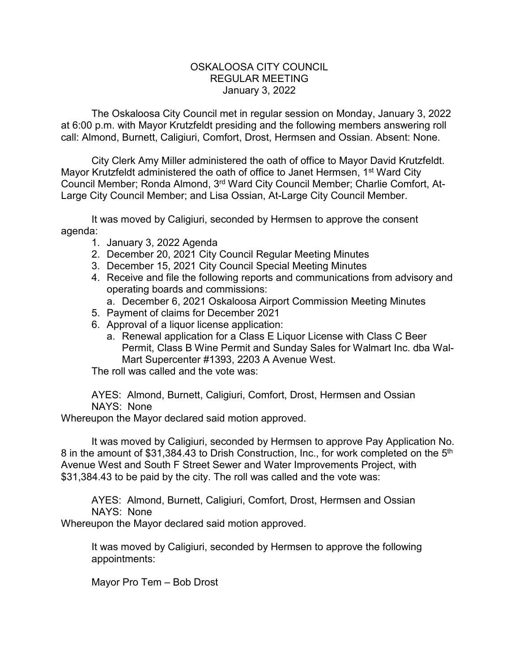## OSKALOOSA CITY COUNCIL REGULAR MEETING January 3, 2022

The Oskaloosa City Council met in regular session on Monday, January 3, 2022 at 6:00 p.m. with Mayor Krutzfeldt presiding and the following members answering roll call: Almond, Burnett, Caligiuri, Comfort, Drost, Hermsen and Ossian. Absent: None.

City Clerk Amy Miller administered the oath of office to Mayor David Krutzfeldt. Mayor Krutzfeldt administered the oath of office to Janet Hermsen, 1<sup>st</sup> Ward City Council Member; Ronda Almond, 3rd Ward City Council Member; Charlie Comfort, At-Large City Council Member; and Lisa Ossian, At-Large City Council Member.

It was moved by Caligiuri, seconded by Hermsen to approve the consent agenda:

- 1. January 3, 2022 Agenda
- 2. December 20, 2021 City Council Regular Meeting Minutes
- 3. December 15, 2021 City Council Special Meeting Minutes
- 4. Receive and file the following reports and communications from advisory and operating boards and commissions:
	- a. December 6, 2021 Oskaloosa Airport Commission Meeting Minutes
- 5. Payment of claims for December 2021
- 6. Approval of a liquor license application:
	- a. Renewal application for a Class E Liquor License with Class C Beer Permit, Class B Wine Permit and Sunday Sales for Walmart Inc. dba Wal-Mart Supercenter #1393, 2203 A Avenue West.

The roll was called and the vote was:

AYES: Almond, Burnett, Caligiuri, Comfort, Drost, Hermsen and Ossian NAYS: None

Whereupon the Mayor declared said motion approved.

It was moved by Caligiuri, seconded by Hermsen to approve Pay Application No. 8 in the amount of \$31,384.43 to Drish Construction, Inc., for work completed on the 5<sup>th</sup> Avenue West and South F Street Sewer and Water Improvements Project, with \$31,384.43 to be paid by the city. The roll was called and the vote was:

AYES: Almond, Burnett, Caligiuri, Comfort, Drost, Hermsen and Ossian NAYS: None

Whereupon the Mayor declared said motion approved.

It was moved by Caligiuri, seconded by Hermsen to approve the following appointments:

Mayor Pro Tem – Bob Drost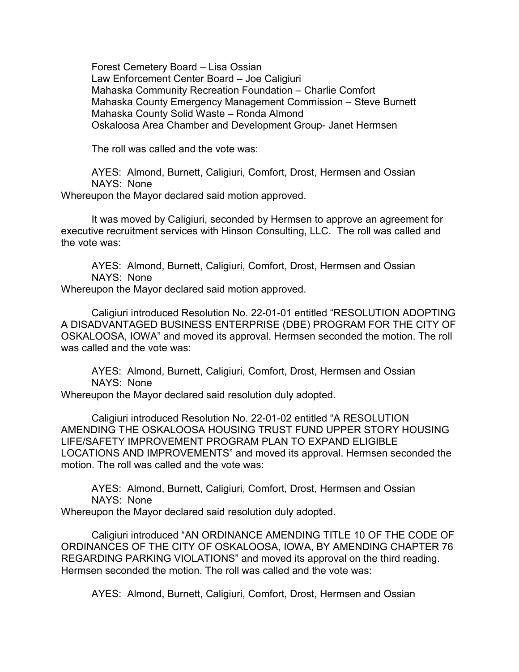Forest Cemetery Board – Lisa Ossian Law Enforcement Center Board – Joe Caligiuri Mahaska Community Recreation Foundation – Charlie Comfort Mahaska County Emergency Management Commission – Steve Burnett Mahaska County Solid Waste – Ronda Almond Oskaloosa Area Chamber and Development Group- Janet Hermsen

The roll was called and the vote was:

AYES: Almond, Burnett, Caligiuri, Comfort, Drost, Hermsen and Ossian NAYS: None

Whereupon the Mayor declared said motion approved.

It was moved by Caligiuri, seconded by Hermsen to approve an agreement for executive recruitment services with Hinson Consulting, LLC. The roll was called and the vote was:

AYES: Almond, Burnett, Caligiuri, Comfort, Drost, Hermsen and Ossian NAYS: None

Whereupon the Mayor declared said motion approved.

Caligiuri introduced Resolution No. 22-01-01 entitled "RESOLUTION ADOPTING A DISADVANTAGED BUSINESS ENTERPRISE (DBE) PROGRAM FOR THE CITY OF OSKALOOSA, IOWA" and moved its approval. Hermsen seconded the motion. The roll was called and the vote was:

AYES: Almond, Burnett, Caligiuri, Comfort, Drost, Hermsen and Ossian NAYS: None

Whereupon the Mayor declared said resolution duly adopted.

Caligiuri introduced Resolution No. 22-01-02 entitled "A RESOLUTION AMENDING THE OSKALOOSA HOUSING TRUST FUND UPPER STORY HOUSING LIFE/SAFETY IMPROVEMENT PROGRAM PLAN TO EXPAND ELIGIBLE LOCATIONS AND IMPROVEMENTS" and moved its approval. Hermsen seconded the motion. The roll was called and the vote was:

AYES: Almond, Burnett, Caligiuri, Comfort, Drost, Hermsen and Ossian NAYS: None

Whereupon the Mayor declared said resolution duly adopted.

Caligiuri introduced "AN ORDINANCE AMENDING TITLE 10 OF THE CODE OF ORDINANCES OF THE CITY OF OSKALOOSA, IOWA, BY AMENDING CHAPTER 76 REGARDING PARKING VIOLATIONS" and moved its approval on the third reading. Hermsen seconded the motion. The roll was called and the vote was:

AYES: Almond, Burnett, Caligiuri, Comfort, Drost, Hermsen and Ossian